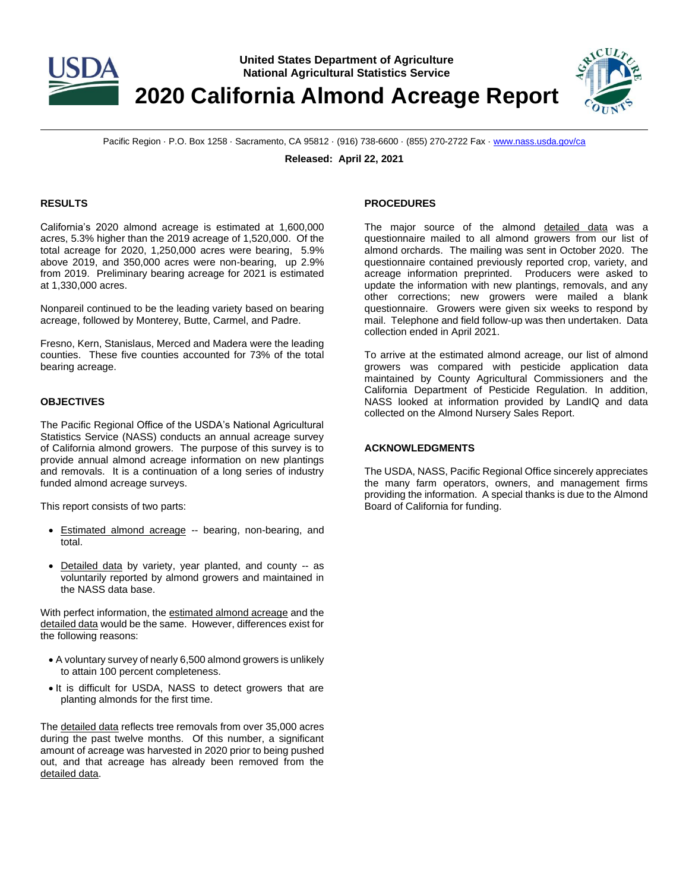

**United States Department of Agriculture National Agricultural Statistics Service**

**2020 California Almond Acreage Report**



Pacific Region · P.O. Box 1258 · Sacramento, CA 95812 · (916) 738-6600 · (855) 270-2722 Fax [· www.nass.usda.gov/ca](http://www.nass.usda.gov/ca)

**Released: April 22, 2021**

### **RESULTS**

California's 2020 almond acreage is estimated at 1,600,000 acres, 5.3% higher than the 2019 acreage of 1,520,000. Of the total acreage for 2020, 1,250,000 acres were bearing, 5.9% above 2019, and 350,000 acres were non-bearing, up 2.9% from 2019. Preliminary bearing acreage for 2021 is estimated at 1,330,000 acres.

Nonpareil continued to be the leading variety based on bearing acreage, followed by Monterey, Butte, Carmel, and Padre.

Fresno, Kern, Stanislaus, Merced and Madera were the leading counties. These five counties accounted for 73% of the total bearing acreage.

### **OBJECTIVES**

The Pacific Regional Office of the USDA's National Agricultural Statistics Service (NASS) conducts an annual acreage survey of California almond growers. The purpose of this survey is to provide annual almond acreage information on new plantings and removals. It is a continuation of a long series of industry funded almond acreage surveys.

This report consists of two parts:

- Estimated almond acreage -- bearing, non-bearing, and total.
- Detailed data by variety, year planted, and county -- as voluntarily reported by almond growers and maintained in the NASS data base.

With perfect information, the estimated almond acreage and the detailed data would be the same. However, differences exist for the following reasons:

- A voluntary survey of nearly 6,500 almond growers is unlikely to attain 100 percent completeness.
- It is difficult for USDA, NASS to detect growers that are planting almonds for the first time.

The detailed data reflects tree removals from over 35,000 acres during the past twelve months. Of this number, a significant amount of acreage was harvested in 2020 prior to being pushed out, and that acreage has already been removed from the detailed data.

#### **PROCEDURES**

The major source of the almond detailed data was a questionnaire mailed to all almond growers from our list of almond orchards. The mailing was sent in October 2020. The questionnaire contained previously reported crop, variety, and acreage information preprinted. Producers were asked to update the information with new plantings, removals, and any other corrections; new growers were mailed a blank questionnaire. Growers were given six weeks to respond by mail. Telephone and field follow-up was then undertaken. Data collection ended in April 2021.

To arrive at the estimated almond acreage, our list of almond growers was compared with pesticide application data maintained by County Agricultural Commissioners and the California Department of Pesticide Regulation. In addition, NASS looked at information provided by LandIQ and data collected on the Almond Nursery Sales Report.

#### **ACKNOWLEDGMENTS**

The USDA, NASS, Pacific Regional Office sincerely appreciates the many farm operators, owners, and management firms providing the information. A special thanks is due to the Almond Board of California for funding.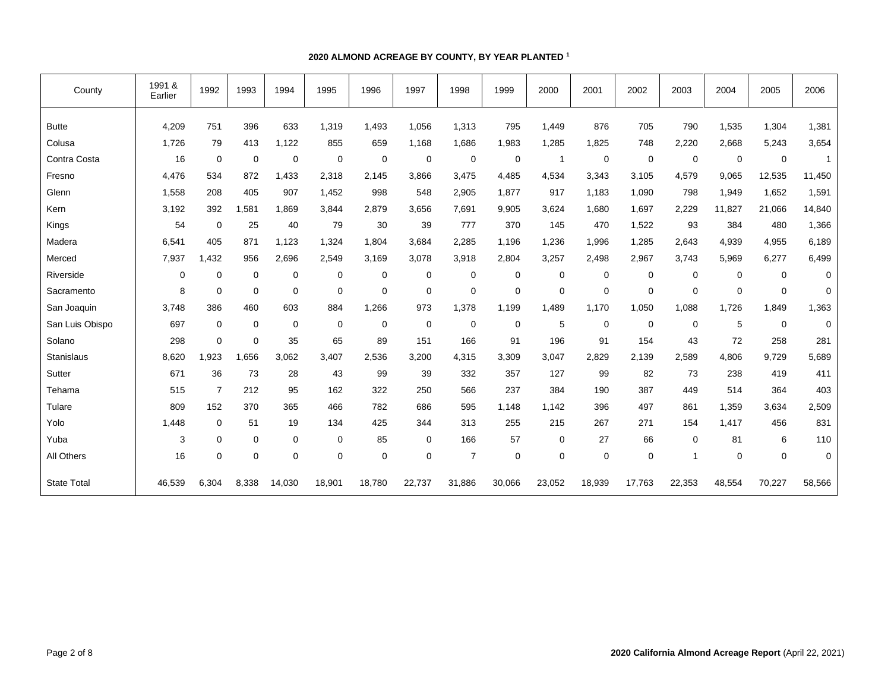### **2020 ALMOND ACREAGE BY COUNTY, BY YEAR PLANTED <sup>1</sup>**

| County             | 1991 &<br>Earlier | 1992           | 1993        | 1994        | 1995        | 1996        | 1997        | 1998           | 1999        | 2000   | 2001        | 2002        | 2003           | 2004        | 2005        | 2006           |
|--------------------|-------------------|----------------|-------------|-------------|-------------|-------------|-------------|----------------|-------------|--------|-------------|-------------|----------------|-------------|-------------|----------------|
| <b>Butte</b>       | 4,209             | 751            | 396         | 633         | 1,319       | 1,493       | 1,056       | 1,313          | 795         | 1,449  | 876         | 705         | 790            | 1,535       | 1,304       | 1,381          |
| Colusa             | 1,726             | 79             | 413         | 1,122       | 855         | 659         | 1,168       | 1,686          | 1,983       | 1,285  | 1,825       | 748         | 2,220          | 2,668       | 5,243       | 3,654          |
| Contra Costa       | 16                | $\mathbf 0$    | $\mathbf 0$ | $\mathbf 0$ | $\mathbf 0$ | $\mathbf 0$ | $\mathbf 0$ | $\mathbf 0$    | $\mathbf 0$ | -1     | $\mathbf 0$ | $\mathbf 0$ | $\mathbf 0$    | $\mathbf 0$ | $\mathbf 0$ | $\overline{1}$ |
| Fresno             | 4,476             | 534            | 872         | 1.433       | 2,318       | 2,145       | 3,866       | 3,475          | 4,485       | 4,534  | 3,343       | 3,105       | 4,579          | 9,065       | 12,535      | 11,450         |
| Glenn              | 1,558             | 208            | 405         | 907         | 1,452       | 998         | 548         | 2,905          | 1,877       | 917    | 1,183       | 1,090       | 798            | 1,949       | 1,652       | 1,591          |
| Kern               | 3,192             | 392            | .581<br>1   | 1.869       | 3.844       | 2.879       | 3.656       | 7,691          | 9,905       | 3,624  | 1,680       | 1,697       | 2,229          | 11,827      | 21,066      | 14,840         |
| Kings              | 54                | $\mathbf 0$    | 25          | 40          | 79          | 30          | 39          | 777            | 370         | 145    | 470         | 1,522       | 93             | 384         | 480         | 1,366          |
| Madera             | 6,541             | 405            | 871         | 1,123       | 1,324       | 1.804       | 3,684       | 2,285          | 1,196       | 1,236  | 1,996       | 1,285       | 2,643          | 4,939       | 4,955       | 6,189          |
| Merced             | 7,937             | ,432           | 956         | 2,696       | 2,549       | 3,169       | 3,078       | 3,918          | 2,804       | 3,257  | 2,498       | 2,967       | 3,743          | 5,969       | 6,277       | 6,499          |
| Riverside          | $\mathbf 0$       | 0              | $\pmb{0}$   | $\mathbf 0$ | $\mathbf 0$ | $\mathbf 0$ | $\mathbf 0$ | $\mathbf 0$    | 0           | 0      | 0           | $\mathbf 0$ | $\mathbf 0$    | $\mathbf 0$ | $\mathbf 0$ | $\mathbf 0$    |
| Sacramento         | 8                 | $\mathbf 0$    | $\mathbf 0$ | 0           | $\mathbf 0$ | $\mathbf 0$ | $\mathbf 0$ | $\mathbf 0$    | 0           | 0      | $\mathbf 0$ | 0           | $\mathbf 0$    | 0           | $\mathbf 0$ | 0              |
| San Joaquin        | 3,748             | 386            | 460         | 603         | 884         | 1,266       | 973         | 1,378          | 1,199       | 1,489  | 1,170       | 1,050       | 1,088          | 1,726       | 1,849       | 1,363          |
| San Luis Obispo    | 697               | $\mathbf 0$    | $\mathbf 0$ | $\mathbf 0$ | $\mathbf 0$ | 0           | $\mathbf 0$ | $\mathbf 0$    | $\mathbf 0$ | 5      | $\mathbf 0$ | 0           | $\mathbf 0$    | 5           | $\mathbf 0$ | $\mathbf 0$    |
| Solano             | 298               | $\mathbf 0$    | $\mathbf 0$ | 35          | 65          | 89          | 151         | 166            | 91          | 196    | 91          | 154         | 43             | 72          | 258         | 281            |
| Stanislaus         | 8,620             | ,923           | .656        | 3.062       | 3.407       | 2,536       | 3,200       | 4,315          | 3,309       | 3,047  | 2,829       | 2,139       | 2,589          | 4,806       | 9,729       | 5,689          |
| Sutter             | 671               | 36             | 73          | 28          | 43          | 99          | 39          | 332            | 357         | 127    | 99          | 82          | 73             | 238         | 419         | 411            |
| Tehama             | 515               | $\overline{7}$ | 212         | 95          | 162         | 322         | 250         | 566            | 237         | 384    | 190         | 387         | 449            | 514         | 364         | 403            |
| Tulare             | 809               | 152            | 370         | 365         | 466         | 782         | 686         | 595            | 1.148       | 1,142  | 396         | 497         | 861            | 1,359       | 3,634       | 2,509          |
| Yolo               | 1,448             | 0              | 51          | 19          | 134         | 425         | 344         | 313            | 255         | 215    | 267         | 271         | 154            | 1,417       | 456         | 831            |
| Yuba               | 3                 | $\mathbf 0$    | 0           | 0           | $\mathbf 0$ | 85          | $\mathbf 0$ | 166            | 57          | 0      | 27          | 66          | $\mathbf 0$    | 81          | 6           | 110            |
| All Others         | 16                | $\mathbf 0$    | $\mathbf 0$ | $\mathbf 0$ | 0           | $\mathbf 0$ | $\mathbf 0$ | $\overline{7}$ | $\mathbf 0$ | 0      | $\mathbf 0$ | $\mathbf 0$ | $\overline{1}$ | $\mathbf 0$ | 0           | $\mathbf 0$    |
| <b>State Total</b> | 46,539            | 6,304          | 8,338       | 14,030      | 18,901      | 18,780      | 22,737      | 31,886         | 30,066      | 23,052 | 18,939      | 17,763      | 22,353         | 48,554      | 70,227      | 58,566         |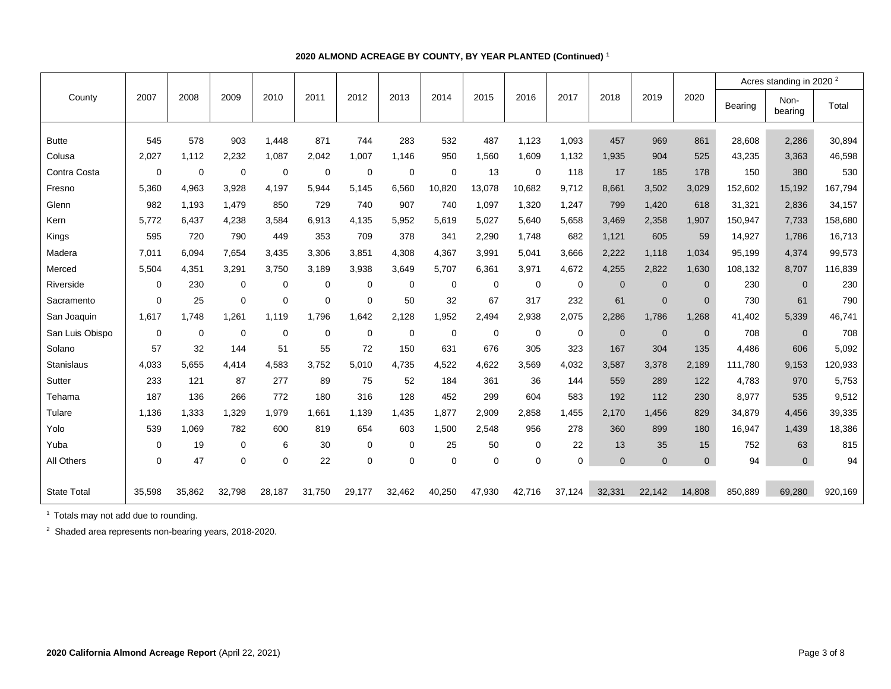|                    |          |             |             |             |             |             |          |             |             |             |             |                |                |                |                | Acres standing in 2020 <sup>2</sup> |         |
|--------------------|----------|-------------|-------------|-------------|-------------|-------------|----------|-------------|-------------|-------------|-------------|----------------|----------------|----------------|----------------|-------------------------------------|---------|
| County             | 2007     | 2008        | 2009        | 2010        | 2011        | 2012        | 2013     | 2014        | 2015        | 2016        | 2017        | 2018           | 2019           | 2020           | <b>Bearing</b> | Non-<br>bearing                     | Total   |
| <b>Butte</b>       | 545      | 578         | 903         | 1,448       | 871         | 744         | 283      | 532         | 487         | 1,123       | 1,093       | 457            | 969            | 861            | 28,608         | 2,286                               | 30,894  |
| Colusa             | 2,027    | 1,112       | 2,232       | 1,087       | 2,042       | 1,007       | 1.146    | 950         | 1,560       | 1,609       | 1,132       | 1,935          | 904            | 525            | 43,235         | 3,363                               | 46,598  |
| Contra Costa       | $\Omega$ | $\mathbf 0$ | 0           | 0           | $\mathbf 0$ | 0           | 0        | $\mathbf 0$ | 13          | 0           | 118         | 17             | 185            | 178            | 150            | 380                                 | 530     |
| Fresno             | 5.360    | 4,963       | 3.928       | 4.197       | 5.944       | 5.145       | 6,560    | 10,820      | 13,078      | 10,682      | 9,712       | 8.661          | 3,502          | 3,029          | 152,602        | 15,192                              | 167,794 |
| Glenn              | 982      | 1,193       | 1,479       | 850         | 729         | 740         | 907      | 740         | 1,097       | 1,320       | 1,247       | 799            | 1,420          | 618            | 31,321         | 2,836                               | 34,157  |
| Kern               | 5,772    | 6,437       | 4,238       | 3,584       | 6,913       | 4,135       | 5,952    | 5,619       | 5,027       | 5,640       | 5,658       | 3,469          | 2,358          | 1,907          | 150,947        | 7,733                               | 158,680 |
|                    | 595      | 720         | 790         | 449         | 353         | 709         | 378      | 341         |             | 1,748       | 682         | 1,121          | 605            |                | 14,927         |                                     | 16,713  |
| Kings              |          |             |             |             |             |             |          |             | 2,290       |             |             |                |                | 59             |                | 1,786                               |         |
| Madera             | 7,011    | 6.094       | 7.654       | 3,435       | 3,306       | 3,851       | 4,308    | 4,367       | 3,991       | 5,041       | 3,666       | 2,222          | 1,118          | 1,034          | 95,199         | 4,374                               | 99,573  |
| Merced             | 5,504    | 4,351       | 3,291       | 3,750       | 3,189       | 3,938       | 3,649    | 5,707       | 6,361       | 3,971       | 4,672       | 4,255          | 2,822          | 1,630          | 108,132        | 8.707                               | 116,839 |
| Riverside          | 0        | 230         | 0           | $\mathbf 0$ | $\mathbf 0$ | $\mathbf 0$ | 0        | $\mathbf 0$ | $\mathbf 0$ | $\mathbf 0$ | 0           | $\overline{0}$ | $\overline{0}$ | $\overline{0}$ | 230            | $\Omega$                            | 230     |
| Sacramento         | $\Omega$ | 25          | 0           | $\mathbf 0$ | $\mathbf 0$ | 0           | 50       | 32          | 67          | 317         | 232         | 61             | $\mathbf{0}$   | $\mathbf{0}$   | 730            | 61                                  | 790     |
| San Joaquin        | 1,617    | 1,748       | 1,261       | 1.119       | 1,796       | 1,642       | 2,128    | 1,952       | 2,494       | 2,938       | 2,075       | 2,286          | 1,786          | 1,268          | 41,402         | 5,339                               | 46,741  |
| San Luis Obispo    | 0        | $\mathbf 0$ | 0           | 0           | $\mathbf 0$ | 0           | 0        | $\mathbf 0$ | 0           | 0           | 0           | $\overline{0}$ | $\mathbf 0$    | $\overline{0}$ | 708            | $\Omega$                            | 708     |
| Solano             | 57       | 32          | 144         | 51          | 55          | 72          | 150      | 631         | 676         | 305         | 323         | 167            | 304            | 135            | 4,486          | 606                                 | 5,092   |
| <b>Stanislaus</b>  | 4,033    | 5,655       | 4.414       | 4,583       | 3,752       | 5.010       | 4,735    | 4,522       | 4,622       | 3,569       | 4,032       | 3,587          | 3,378          | 2,189          | 111.780        | 9,153                               | 120,933 |
| Sutter             | 233      | 121         | 87          | 277         | 89          | 75          | 52       | 184         | 361         | 36          | 144         | 559            | 289            | 122            | 4,783          | 970                                 | 5,753   |
| Tehama             | 187      | 136         | 266         | 772         | 180         | 316         | 128      | 452         | 299         | 604         | 583         | 192            | 112            | 230            | 8,977          | 535                                 | 9,512   |
| Tulare             | 1,136    | 1,333       | 1,329       | 1,979       | 1,661       | 1,139       | 1,435    | 1,877       | 2,909       | 2,858       | 1,455       | 2,170          | 1,456          | 829            | 34,879         | 4,456                               | 39,335  |
| Yolo               | 539      | 1,069       | 782         | 600         | 819         | 654         | 603      | 1,500       | 2,548       | 956         | 278         | 360            | 899            | 180            | 16,947         | 1,439                               | 18,386  |
| Yuba               | 0        | 19          | 0           | 6           | 30          | 0           | 0        | 25          | 50          | 0           | 22          | 13             | 35             | 15             | 752            | 63                                  | 815     |
| All Others         | $\Omega$ | 47          | $\mathbf 0$ | $\mathbf 0$ | 22          | 0           | $\Omega$ | $\mathbf 0$ | $\mathbf 0$ | $\Omega$    | $\mathbf 0$ | $\Omega$       | $\Omega$       | $\mathbf 0$    | 94             | $\mathbf{0}$                        | 94      |
|                    |          |             |             |             |             |             |          |             |             |             |             |                |                |                |                |                                     |         |
| <b>State Total</b> | 35.598   | 35,862      | 32,798      | 28,187      | 31,750      | 29,177      | 32,462   | 40,250      | 47,930      | 42,716      | 37.124      | 32.331         | 22.142         | 14,808         | 850,889        | 69.280                              | 920,169 |

# **2020 ALMOND ACREAGE BY COUNTY, BY YEAR PLANTED (Continued) <sup>1</sup>**

<sup>1</sup> Totals may not add due to rounding.

<sup>2</sup> Shaded area represents non-bearing years, 2018-2020.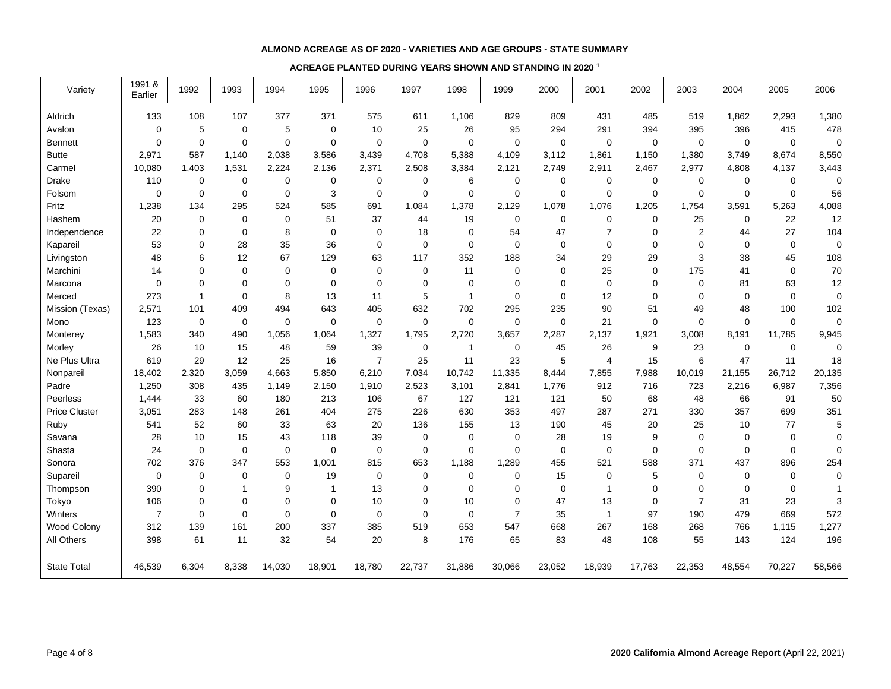#### **ALMOND ACREAGE AS OF 2020 - VARIETIES AND AGE GROUPS - STATE SUMMARY**

#### **ACREAGE PLANTED DURING YEARS SHOWN AND STANDING IN 2020 <sup>1</sup>**

| Variety              | 1991 &<br>Earlier | 1992         | 1993  | 1994        | 1995           | 1996           | 1997        | 1998           | 1999           | 2000        | 2001           | 2002         | 2003           | 2004        | 2005        | 2006             |
|----------------------|-------------------|--------------|-------|-------------|----------------|----------------|-------------|----------------|----------------|-------------|----------------|--------------|----------------|-------------|-------------|------------------|
| Aldrich              | 133               | 108          | 107   | 377         | 371            | 575            | 611         | 1,106          | 829            | 809         | 431            | 485          | 519            | 1,862       | 2,293       | 1,380            |
| Avalon               | $\mathbf 0$       | 5            | 0     | 5           | $\mathbf 0$    | 10             | 25          | 26             | 95             | 294         | 291            | 394          | 395            | 396         | 415         | 478              |
| <b>Bennett</b>       | $\mathbf{0}$      | $\mathbf 0$  | 0     | $\mathbf 0$ | $\mathbf 0$    | $\mathbf 0$    | $\mathbf 0$ | 0              | 0              | $\mathbf 0$ | 0              | 0            | $\mathbf 0$    | $\mathbf 0$ | $\mathbf 0$ | $\mathbf 0$      |
| <b>Butte</b>         | 2,971             | 587          | 1,140 | 2,038       | 3,586          | 3,439          | 4,708       | 5,388          | 4,109          | 3,112       | 1,861          | 1,150        | 1,380          | 3,749       | 8,674       | 8,550            |
| Carmel               | 10,080            | 1,403        | 1,531 | 2,224       | 2,136          | 2,371          | 2,508       | 3,384          | 2,121          | 2,749       | 2,911          | 2,467        | 2,977          | 4,808       | 4,137       | 3,443            |
| Drake                | 110               | 0            | 0     | 0           | 0              | 0              | 0           | 6              | 0              | 0           | 0              | 0            | 0              | 0           | 0           | 0                |
| Folsom               | $\Omega$          | $\mathbf 0$  | 0     | $\mathbf 0$ | 3              | $\Omega$       | $\Omega$    | 0              | 0              | $\mathbf 0$ | 0              | $\Omega$     | $\mathbf 0$    | $\Omega$    | $\mathbf 0$ | 56               |
| Fritz                | 1,238             | 134          | 295   | 524         | 585            | 691            | 1,084       | 1,378          | 2,129          | 1,078       | 1,076          | 1,205        | 1,754          | 3,591       | 5,263       | 4,088            |
| Hashem               | 20                | $\mathbf 0$  | 0     | 0           | 51             | 37             | 44          | 19             | 0              | 0           | $\mathbf 0$    | $\mathbf 0$  | 25             | 0           | 22          | 12               |
| Independence         | 22                | $\mathbf 0$  | 0     | 8           | $\mathbf 0$    | $\mathbf 0$    | 18          | 0              | 54             | 47          | $\overline{7}$ | $\mathbf 0$  | 2              | 44          | 27          | 104              |
| Kapareil             | 53                | 0            | 28    | 35          | 36             | $\Omega$       | $\Omega$    | 0              | 0              | $\mathbf 0$ | $\Omega$       | $\Omega$     | $\Omega$       | $\Omega$    | $\mathbf 0$ | $\mathbf 0$      |
| Livingston           | 48                | 6            | 12    | 67          | 129            | 63             | 117         | 352            | 188            | 34          | 29             | 29           | 3              | 38          | 45          | 108              |
| Marchini             | 14                | $\mathbf 0$  | 0     | 0           | $\mathbf 0$    | 0              | $\mathbf 0$ | 11             | 0              | 0           | 25             | $\Omega$     | 175            | 41          | $\mathbf 0$ | 70               |
| Marcona              | $\mathbf 0$       | $\mathbf 0$  | 0     | 0           | $\mathbf 0$    | 0              | $\mathbf 0$ | 0              | 0              | $\mathbf 0$ | $\mathbf 0$    | $\mathbf 0$  | $\mathbf 0$    | 81          | 63          | 12               |
| Merced               | 273               | $\mathbf{1}$ | 0     | 8           | 13             | 11             | 5           | $\overline{1}$ | 0              | $\mathbf 0$ | 12             | $\mathbf 0$  | 0              | $\mathbf 0$ | $\mathbf 0$ | $\boldsymbol{0}$ |
| Mission (Texas)      | 2,571             | 101          | 409   | 494         | 643            | 405            | 632         | 702            | 295            | 235         | 90             | 51           | 49             | 48          | 100         | 102              |
| Mono                 | 123               | 0            | 0     | 0           | $\mathbf 0$    | $\mathbf 0$    | $\mathbf 0$ | 0              | 0              | $\mathbf 0$ | 21             | $\mathbf 0$  | $\Omega$       | $\mathbf 0$ | $\mathbf 0$ | 0                |
| Monterey             | 1,583             | 340          | 490   | 1,056       | 1,064          | 1,327          | 1,795       | 2,720          | 3,657          | 2,287       | 2,137          | 1,921        | 3,008          | 8,191       | 11,785      | 9,945            |
| Morley               | 26                | 10           | 15    | 48          | 59             | 39             | $\mathbf 0$ | $\mathbf{1}$   | $\mathbf 0$    | 45          | 26             | 9            | 23             | 0           | $\mathbf 0$ | 0                |
| Ne Plus Ultra        | 619               | 29           | 12    | 25          | 16             | $\overline{7}$ | 25          | 11             | 23             | 5           | 4              | 15           | 6              | 47          | 11          | 18               |
| Nonpareil            | 18,402            | 2,320        | 3,059 | 4,663       | 5,850          | 6,210          | 7,034       | 10,742         | 11,335         | 8,444       | 7,855          | 7,988        | 10,019         | 21,155      | 26,712      | 20,135           |
| Padre                | 1,250             | 308          | 435   | 1,149       | 2,150          | 1,910          | 2,523       | 3,101          | 2,841          | 1,776       | 912            | 716          | 723            | 2,216       | 6,987       | 7,356            |
| Peerless             | 1,444             | 33           | 60    | 180         | 213            | 106            | 67          | 127            | 121            | 121         | 50             | 68           | 48             | 66          | 91          | 50               |
| <b>Price Cluster</b> | 3,051             | 283          | 148   | 261         | 404            | 275            | 226         | 630            | 353            | 497         | 287            | 271          | 330            | 357         | 699         | 351              |
| Ruby                 | 541               | 52           | 60    | 33          | 63             | 20             | 136         | 155            | 13             | 190         | 45             | 20           | 25             | 10          | 77          | 5                |
| Savana               | 28                | 10           | 15    | 43          | 118            | 39             | $\mathbf 0$ | 0              | 0              | 28          | 19             | 9            | $\mathbf 0$    | $\mathbf 0$ | $\mathbf 0$ | $\boldsymbol{0}$ |
| Shasta               | 24                | $\mathbf 0$  | 0     | 0           | $\mathbf 0$    | 0              | $\mathbf 0$ | 0              | 0              | $\mathbf 0$ | $\mathbf 0$    | $\mathbf 0$  | $\mathbf 0$    | $\mathbf 0$ | $\mathbf 0$ | $\mathbf 0$      |
| Sonora               | 702               | 376          | 347   | 553         | 1,001          | 815            | 653         | 1,188          | 1,289          | 455         | 521            | 588          | 371            | 437         | 896         | 254              |
| Supareil             | 0                 | $\mathbf 0$  | 0     | $\mathbf 0$ | 19             | $\Omega$       | $\mathbf 0$ | 0              | 0              | 15          | $\mathbf 0$    | 5            | $\Omega$       | $\Omega$    | $\mathbf 0$ | 0                |
| Thompson             | 390               | $\Omega$     | 1     | 9           | $\overline{1}$ | 13             | 0           | 0              | 0              | 0           | 1              | $\mathbf{0}$ | $\Omega$       | $\Omega$    | $\mathbf 0$ | $\mathbf{1}$     |
| Tokyo                | 106               | $\mathbf 0$  | 0     | $\mathbf 0$ | $\Omega$       | 10             | $\Omega$    | 10             | 0              | 47          | 13             | $\Omega$     | $\overline{7}$ | 31          | 23          | $\mathsf 3$      |
| Winters              | $\overline{7}$    | $\mathbf 0$  | 0     | $\mathbf 0$ | $\mathbf 0$    | $\mathbf 0$    | $\Omega$    | 0              | $\overline{7}$ | 35          | $\mathbf{1}$   | 97           | 190            | 479         | 669         | 572              |
| <b>Wood Colony</b>   | 312               | 139          | 161   | 200         | 337            | 385            | 519         | 653            | 547            | 668         | 267            | 168          | 268            | 766         | 1,115       | 1,277            |
| All Others           | 398               | 61           | 11    | 32          | 54             | 20             | 8           | 176            | 65             | 83          | 48             | 108          | 55             | 143         | 124         | 196              |
| <b>State Total</b>   | 46,539            | 6,304        | 8,338 | 14,030      | 18,901         | 18,780         | 22,737      | 31,886         | 30,066         | 23,052      | 18,939         | 17,763       | 22,353         | 48,554      | 70,227      | 58,566           |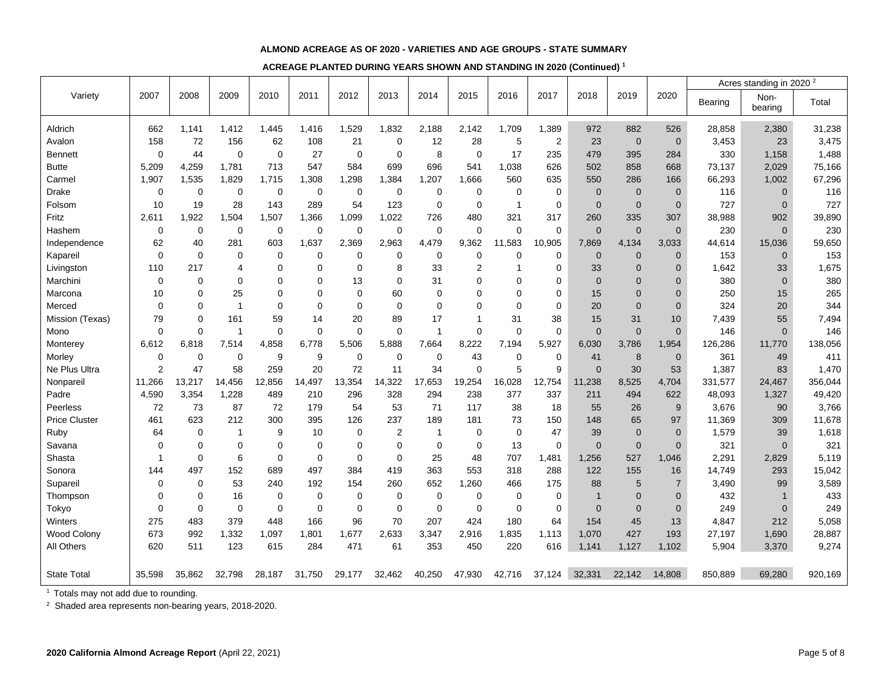#### **ALMOND ACREAGE AS OF 2020 - VARIETIES AND AGE GROUPS - STATE SUMMARY**

**ACREAGE PLANTED DURING YEARS SHOWN AND STANDING IN 2020 (Continued) <sup>1</sup>**

|                      |                |             |                |                |             |             |                |              |                |                |                |                |                |                |         | Acres standing in 2020 <sup>2</sup> |         |
|----------------------|----------------|-------------|----------------|----------------|-------------|-------------|----------------|--------------|----------------|----------------|----------------|----------------|----------------|----------------|---------|-------------------------------------|---------|
| Variety              | 2007           | 2008        | 2009           | 2010           | 2011        | 2012        | 2013           | 2014         | 2015           | 2016           | 2017           | 2018           | 2019           | 2020           | Bearing | Non-<br>bearing                     | Total   |
| Aldrich              | 662            | 1,141       | 1,412          | 1,445          | 1,416       | 1,529       | 1,832          | 2,188        | 2,142          | 1,709          | 1,389          | 972            | 882            | 526            | 28,858  | 2,380                               | 31,238  |
| Avalon               | 158            | 72          | 156            | 62             | 108         | 21          | $\mathbf 0$    | 12           | 28             | 5              | $\overline{2}$ | 23             | $\mathbf 0$    | $\mathbf{0}$   | 3,453   | 23                                  | 3,475   |
| <b>Bennett</b>       | $\mathbf 0$    | 44          | $\pmb{0}$      | $\mathbf 0$    | 27          | $\mathbf 0$ | $\mathbf 0$    | 8            | $\mathbf 0$    | 17             | 235            | 479            | 395            | 284            | 330     | 1,158                               | 1,488   |
| <b>Butte</b>         | 5,209          | 4,259       | 1,781          | 713            | 547         | 584         | 699            | 696          | 541            | 1,038          | 626            | 502            | 858            | 668            | 73,137  | 2,029                               | 75,166  |
| Carmel               | 1,907          | 1,535       | 1,829          | 1,715          | 1,308       | 1,298       | 1,384          | 1,207        | 1,666          | 560            | 635            | 550            | 286            | 166            | 66,293  | 1,002                               | 67,296  |
| Drake                | $\mathbf 0$    | $\mathbf 0$ | $\mathbf 0$    | 0              | $\mathbf 0$ | $\mathbf 0$ | 0              | $\mathbf 0$  | $\mathbf 0$    | $\mathbf 0$    | $\mathbf 0$    | $\overline{0}$ | $\overline{0}$ | $\mathbf{0}$   | 116     | $\overline{0}$                      | 116     |
| Folsom               | 10             | 19          | 28             | 143            | 289         | 54          | 123            | $\mathbf 0$  | $\mathbf 0$    | $\overline{1}$ | 0              | $\mathbf 0$    | $\mathbf 0$    | $\mathbf 0$    | 727     | $\mathbf 0$                         | 727     |
| Fritz                | 2,611          | 1.922       | 1,504          | 1,507          | 1,366       | 1,099       | 1,022          | 726          | 480            | 321            | 317            | 260            | 335            | 307            | 38,988  | 902                                 | 39,890  |
| Hashem               | $\mathbf 0$    | $\mathbf 0$ | $\mathbf 0$    | $\mathbf 0$    | $\mathbf 0$ | $\mathbf 0$ | $\mathbf 0$    | $\mathbf 0$  | $\mathbf 0$    | $\mathbf 0$    | 0              | $\overline{0}$ | $\overline{0}$ | $\mathbf{0}$   | 230     | $\mathbf{0}$                        | 230     |
| Independence         | 62             | 40          | 281            | 603            | 1.637       | 2,369       | 2,963          | 4,479        | 9,362          | 11,583         | 10,905         | 7,869          | 4,134          | 3,033          | 44,614  | 15,036                              | 59,650  |
| Kapareil             | $\mathbf 0$    | $\mathbf 0$ | 0              | $\mathbf 0$    | $\mathbf 0$ | $\mathbf 0$ | $\mathbf 0$    | $\mathbf 0$  | $\mathbf 0$    | $\mathbf 0$    | 0              | $\overline{0}$ | $\overline{0}$ | $\mathbf{0}$   | 153     | $\overline{0}$                      | 153     |
| Livingston           | 110            | 217         | 4              | $\mathbf 0$    | $\Omega$    | $\mathbf 0$ | 8              | 33           | $\overline{2}$ | $\mathbf{1}$   | 0              | 33             | $\overline{0}$ | $\Omega$       | 1,642   | 33                                  | 1,675   |
| Marchini             | $\mathbf 0$    | $\mathbf 0$ | 0              | $\overline{0}$ | $\mathbf 0$ | 13          | $\mathbf 0$    | 31           | $\mathbf 0$    | $\Omega$       | 0              | $\overline{0}$ | $\Omega$       | $\overline{0}$ | 380     | $\overline{0}$                      | 380     |
| Marcona              | 10             | 0           | 25             | $\mathbf 0$    | $\Omega$    | $\Omega$    | 60             | $\Omega$     | $\Omega$       | $\Omega$       | 0              | 15             | $\Omega$       | $\Omega$       | 250     | 15                                  | 265     |
| Merced               | $\mathbf 0$    | $\mathbf 0$ | $\overline{1}$ | $\mathbf 0$    | $\mathbf 0$ | $\mathbf 0$ | $\mathbf 0$    | $\mathbf 0$  | $\mathbf 0$    | $\mathbf 0$    | 0              | 20             | $\Omega$       | $\overline{0}$ | 324     | 20                                  | 344     |
| Mission (Texas)      | 79             | $\mathbf 0$ | 161            | 59             | 14          | 20          | 89             | 17           | 1              | 31             | 38             | 15             | 31             | 10             | 7,439   | 55                                  | 7,494   |
| Mono                 | $\mathbf 0$    | $\Omega$    | $\overline{1}$ | $\mathbf 0$    | $\Omega$    | $\mathbf 0$ | $\mathbf 0$    | $\mathbf 1$  | $\mathbf 0$    | $\mathbf 0$    | 0              | $\Omega$       | $\mathbf 0$    | $\overline{0}$ | 146     | $\overline{0}$                      | 146     |
| Monterey             | 6,612          | 6,818       | 7,514          | 4,858          | 6.778       | 5,506       | 5,888          | 7,664        | 8,222          | 7,194          | 5,927          | 6,030          | 3,786          | 1,954          | 126,286 | 11,770                              | 138,056 |
| Morley               | $\mathbf 0$    | $\mathbf 0$ | $\mathbf 0$    | 9              | 9           | $\mathbf 0$ | $\mathbf 0$    | $\mathbf 0$  | 43             | $\mathbf 0$    | $\mathbf 0$    | 41             | 8              | $\mathbf 0$    | 361     | 49                                  | 411     |
| Ne Plus Ultra        | $\overline{2}$ | 47          | 58             | 259            | 20          | 72          | 11             | 34           | $\mathbf 0$    | 5              | 9              | $\overline{0}$ | 30             | 53             | 1,387   | 83                                  | 1,470   |
| Nonparei             | 11,266         | 13,217      | 14,456         | 12,856         | 14,497      | 13,354      | 14,322         | 17,653       | 19,254         | 16,028         | 12,754         | 11,238         | 8,525          | 4,704          | 331,577 | 24,467                              | 356,044 |
| Padre                | 4,590          | 3,354       | 1.228          | 489            | 210         | 296         | 328            | 294          | 238            | 377            | 337            | 211            | 494            | 622            | 48,093  | 1,327                               | 49,420  |
| Peerless             | 72             | 73          | 87             | 72             | 179         | 54          | 53             | 71           | 117            | 38             | 18             | 55             | 26             | 9              | 3,676   | 90                                  | 3,766   |
| <b>Price Cluster</b> | 461            | 623         | 212            | 300            | 395         | 126         | 237            | 189          | 181            | 73             | 150            | 148            | 65             | 97             | 11,369  | 309                                 | 11,678  |
| Ruby                 | 64             | $\mathbf 0$ | $\overline{1}$ | 9              | 10          | $\mathbf 0$ | $\overline{2}$ | $\mathbf{1}$ | $\mathbf 0$    | $\mathbf 0$    | 47             | 39             | $\mathbf 0$    | $\mathbf{0}$   | 1,579   | 39                                  | 1,618   |
| Savana               | $\mathbf 0$    | $\mathbf 0$ | $\pmb{0}$      | $\mathbf 0$    | $\mathbf 0$ | $\mathbf 0$ | $\mathbf 0$    | $\mathbf 0$  | $\mathbf 0$    | 13             | 0              | $\overline{0}$ | $\mathbf 0$    | $\overline{0}$ | 321     | $\Omega$                            | 321     |
| Shasta               | $\overline{1}$ | $\mathbf 0$ | 6              | $\mathbf 0$    | $\mathbf 0$ | $\mathbf 0$ | $\mathbf 0$    | 25           | 48             | 707            | 1,481          | 1,256          | 527            | 1,046          | 2,291   | 2,829                               | 5,119   |
| Sonora               | 144            | 497         | 152            | 689            | 497         | 384         | 419            | 363          | 553            | 318            | 288            | 122            | 155            | 16             | 14,749  | 293                                 | 15,042  |
| Supareil             | $\mathbf 0$    | $\mathbf 0$ | 53             | 240            | 192         | 154         | 260            | 652          | 1,260          | 466            | 175            | 88             | 5              | $\overline{7}$ | 3,490   | 99                                  | 3,589   |
| Thompson             | $\Omega$       | $\mathbf 0$ | 16             | $\mathbf 0$    | $\mathbf 0$ | $\Omega$    | $\mathbf 0$    | $\mathbf 0$  | $\mathbf 0$    | $\mathbf 0$    | $\mathbf 0$    | $\overline{1}$ | $\Omega$       | $\Omega$       | 432     |                                     | 433     |
| Tokyo                | $\mathbf 0$    | $\mathbf 0$ | $\mathbf 0$    | $\mathbf 0$    | $\mathbf 0$ | $\mathbf 0$ | $\mathbf 0$    | $\mathbf 0$  | $\mathbf 0$    | $\mathbf 0$    | $\mathbf 0$    | $\mathbf 0$    | $\overline{0}$ | $\overline{0}$ | 249     | $\overline{0}$                      | 249     |
| Winters              | 275            | 483         | 379            | 448            | 166         | 96          | 70             | 207          | 424            | 180            | 64             | 154            | 45             | 13             | 4,847   | 212                                 | 5,058   |
| Wood Colony          | 673            | 992         | 1,332          | 1,097          | 1,801       | 1,677       | 2,633          | 3,347        | 2,916          | 1,835          | 1,113          | 1,070          | 427            | 193            | 27,197  | 1,690                               | 28,887  |
| All Others           | 620            | 511         | 123            | 615            | 284         | 471         | 61             | 353          | 450            | 220            | 616            | 1,141          | 1,127          | 1,102          | 5,904   | 3,370                               | 9,274   |
|                      |                |             |                |                |             |             |                |              |                |                |                |                |                |                |         |                                     |         |
| <b>State Total</b>   | 35.598         | 35,862      | 32,798         | 28,187         | 31,750      | 29,177      | 32,462         | 40,250       | 47,930         | 42,716         | 37,124         | 32,331         | 22,142         | 14,808         | 850,889 | 69,280                              | 920,169 |

<sup>1</sup> Totals may not add due to rounding.

<sup>2</sup> Shaded area represents non-bearing years, 2018-2020.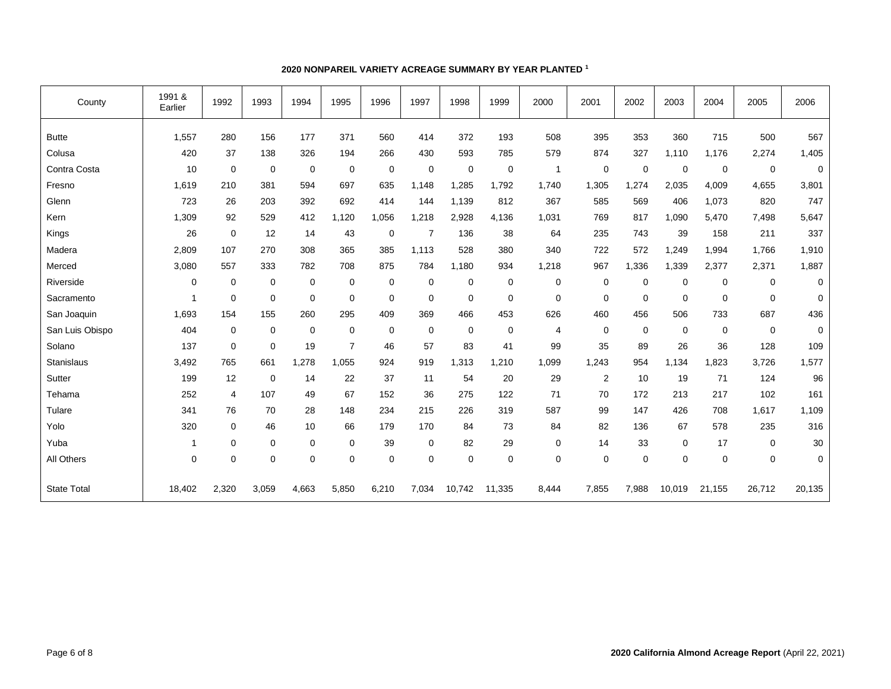| County             | 1991 &<br>Earlier | 1992        | 1993        | 1994           | 1995           | 1996        | 1997        | 1998        | 1999        | 2000           | 2001        | 2002        | 2003        | 2004        | 2005        | 2006        |
|--------------------|-------------------|-------------|-------------|----------------|----------------|-------------|-------------|-------------|-------------|----------------|-------------|-------------|-------------|-------------|-------------|-------------|
| <b>Butte</b>       | 1,557             | 280         | 156         | 177            | 371            | 560         | 414         | 372         | 193         | 508            | 395         | 353         | 360         | 715         | 500         | 567         |
| Colusa             | 420               | 37          | 138         | 326            | 194            | 266         | 430         | 593         | 785         | 579            | 874         | 327         | 1,110       | 1,176       | 2,274       | 1,405       |
| Contra Costa       | 10                | $\mathbf 0$ | $\mathbf 0$ | $\overline{0}$ | 0              | 0           | $\mathbf 0$ | $\mathbf 0$ | $\mathbf 0$ | $\mathbf{1}$   | $\mathbf 0$ | $\mathbf 0$ | $\mathbf 0$ | $\mathbf 0$ | $\mathbf 0$ | $\mathbf 0$ |
| Fresno             | 1,619             | 210         | 381         | 594            | 697            | 635         | 1,148       | 1,285       | 1,792       | 1,740          | 1,305       | 1,274       | 2,035       | 4,009       | 4,655       | 3,801       |
| Glenn              | 723               | 26          | 203         | 392            | 692            | 414         | 144         | 1,139       | 812         | 367            | 585         | 569         | 406         | 1,073       | 820         | 747         |
| Kern               | 1,309             | 92          | 529         | 412            | 1,120          | 1,056       | 1,218       | 2,928       | 4,136       | 1,031          | 769         | 817         | 1,090       | 5,470       | 7,498       | 5,647       |
| Kings              | 26                | $\mathbf 0$ | 12          | 14             | 43             | 0           | 7           | 136         | 38          | 64             | 235         | 743         | 39          | 158         | 211         | 337         |
| Madera             | 2,809             | 107         | 270         | 308            | 365            | 385         | 1,113       | 528         | 380         | 340            | 722         | 572         | 1,249       | 1,994       | 1,766       | 1,910       |
| Merced             | 3,080             | 557         | 333         | 782            | 708            | 875         | 784         | 1,180       | 934         | 1,218          | 967         | 1,336       | 1,339       | 2,377       | 2,371       | 1,887       |
| Riverside          | 0                 | $\mathbf 0$ | $\mathbf 0$ | $\mathbf 0$    | $\Omega$       | $\mathbf 0$ | $\mathbf 0$ | $\mathbf 0$ | $\mathbf 0$ | $\mathbf 0$    | $\Omega$    | $\mathbf 0$ | $\mathbf 0$ | $\Omega$    | $\Omega$    | 0           |
| Sacramento         | $\overline{1}$    | $\mathbf 0$ | $\mathbf 0$ | $\mathbf 0$    | $\Omega$       | 0           | 0           | 0           | $\mathbf 0$ | 0              | $\Omega$    | $\mathbf 0$ | $\Omega$    | $\Omega$    | $\Omega$    | $\mathbf 0$ |
| San Joaquin        | 1,693             | 154         | 155         | 260            | 295            | 409         | 369         | 466         | 453         | 626            | 460         | 456         | 506         | 733         | 687         | 436         |
| San Luis Obispo    | 404               | $\mathbf 0$ | $\mathbf 0$ | 0              | $\mathbf 0$    | $\mathbf 0$ | 0           | 0           | $\mathbf 0$ | $\overline{4}$ | $\mathbf 0$ | $\mathbf 0$ | $\mathbf 0$ | $\mathbf 0$ | $\mathbf 0$ | $\mathbf 0$ |
| Solano             | 137               | $\mathbf 0$ | $\mathbf 0$ | 19             | $\overline{7}$ | 46          | 57          | 83          | 41          | 99             | 35          | 89          | 26          | 36          | 128         | 109         |
| Stanislaus         | 3,492             | 765         | 661         | 1,278          | 1,055          | 924         | 919         | 1,313       | 1,210       | 1,099          | 1,243       | 954         | 1,134       | 1,823       | 3,726       | 1,577       |
| Sutter             | 199               | 12          | $\mathbf 0$ | 14             | 22             | 37          | 11          | 54          | 20          | 29             | 2           | 10          | 19          | 71          | 124         | 96          |
| Tehama             | 252               | 4           | 107         | 49             | 67             | 152         | 36          | 275         | 122         | 71             | 70          | 172         | 213         | 217         | 102         | 161         |
| Tulare             | 341               | 76          | 70          | 28             | 148            | 234         | 215         | 226         | 319         | 587            | 99          | 147         | 426         | 708         | 1,617       | 1,109       |
| Yolo               | 320               | 0           | 46          | 10             | 66             | 179         | 170         | 84          | 73          | 84             | 82          | 136         | 67          | 578         | 235         | 316         |
| Yuba               | $\mathbf{1}$      | $\mathbf 0$ | $\mathbf 0$ | $\mathbf 0$    | $\mathbf 0$    | 39          | $\mathbf 0$ | 82          | 29          | 0              | 14          | 33          | $\mathbf 0$ | 17          | $\mathbf 0$ | 30          |
| All Others         | $\mathbf 0$       | $\mathbf 0$ | $\mathbf 0$ | $\mathbf 0$    | $\mathbf 0$    | $\mathbf 0$ | $\mathbf 0$ | $\mathbf 0$ | $\mathbf 0$ | $\mathbf 0$    | $\mathbf 0$ | $\mathbf 0$ | $\mathbf 0$ | $\mathbf 0$ | $\mathbf 0$ | $\mathbf 0$ |
| <b>State Total</b> | 18.402            | 2,320       | 3,059       | 4,663          | 5,850          | 6,210       | 7,034       | 10,742      | 11,335      | 8,444          | 7,855       | 7,988       | 10,019      | 21,155      | 26,712      | 20,135      |

## **2020 NONPAREIL VARIETY ACREAGE SUMMARY BY YEAR PLANTED <sup>1</sup>**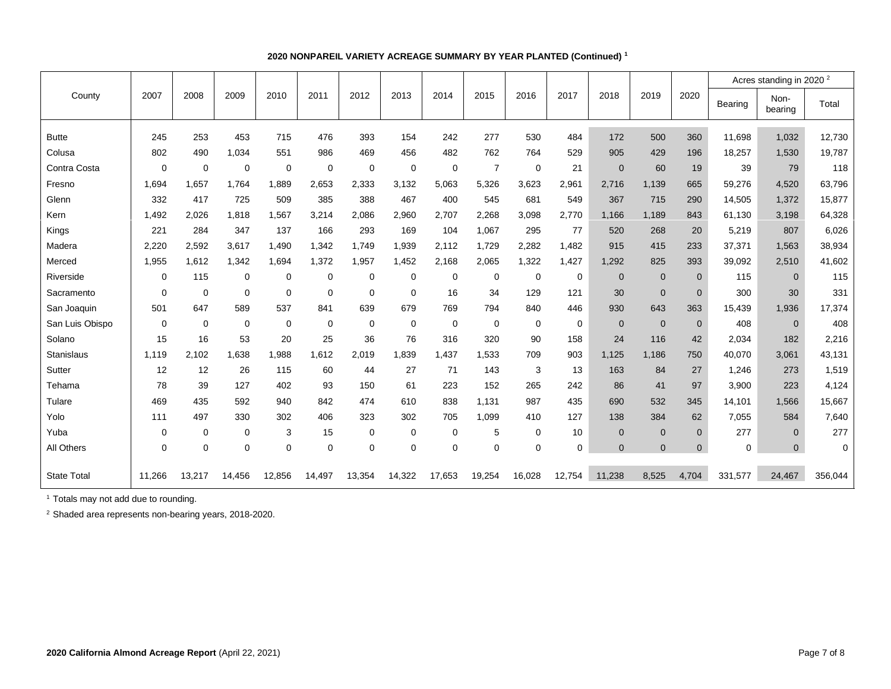|                    |             |             |             |             |             |             |             |             |                |             |             |              |                |                | Acres standing in 2020 <sup>2</sup> |                 |             |  |  |
|--------------------|-------------|-------------|-------------|-------------|-------------|-------------|-------------|-------------|----------------|-------------|-------------|--------------|----------------|----------------|-------------------------------------|-----------------|-------------|--|--|
| County             | 2007        | 2008        | 2009        | 2010        | 2011        | 2012        | 2013        | 2014        | 2015           | 2016        | 2017        | 2018         | 2019           | 2020           | Bearing                             | Non-<br>bearing | Total       |  |  |
| <b>Butte</b>       | 245         | 253         | 453         | 715         | 476         | 393         | 154         | 242         | 277            | 530         | 484         | 172          | 500            | 360            | 11,698                              | 1,032           | 12,730      |  |  |
| Colusa             | 802         | 490         | 1,034       | 551         | 986         | 469         | 456         | 482         | 762            | 764         | 529         | 905          | 429            | 196            | 18,257                              | 1,530           | 19,787      |  |  |
| Contra Costa       | $\mathbf 0$ | 0           | 0           | 0           | $\mathbf 0$ | $\mathbf 0$ | $\mathbf 0$ | 0           | $\overline{7}$ | $\mathbf 0$ | 21          | $\mathbf{0}$ | 60             | 19             | 39                                  | 79              | 118         |  |  |
| Fresno             | 1,694       | 1.657       | 1.764       | 1,889       | 2.653       | 2.333       | 3.132       | 5.063       | 5.326          | 3,623       | 2,961       | 2.716        | 1,139          | 665            | 59,276                              | 4.520           | 63,796      |  |  |
| Glenn              | 332         | 417         | 725         | 509         | 385         | 388         | 467         | 400         | 545            | 681         | 549         | 367          | 715            | 290            | 14,505                              | 1,372           | 15,877      |  |  |
| Kern               | 1,492       | 2,026       | 1,818       | 1,567       | 3,214       | 2.086       | 2,960       | 2.707       | 2,268          | 3,098       | 2.770       | 1.166        | 1,189          | 843            | 61,130                              | 3,198           | 64,328      |  |  |
| Kings              | 221         | 284         | 347         | 137         | 166         | 293         | 169         | 104         | 1,067          | 295         | 77          | 520          | 268            | 20             | 5,219                               | 807             | 6,026       |  |  |
| Madera             | 2,220       | 2,592       | 3,617       | 1,490       | 1,342       | 1,749       | 1,939       | 2,112       | 1,729          | 2,282       | 1,482       | 915          | 415            | 233            | 37,371                              | 1,563           | 38,934      |  |  |
| Merced             | 1,955       | 1,612       | 1,342       | 1,694       | 1,372       | 1,957       | 1,452       | 2,168       | 2,065          | 1,322       | 1,427       | 1,292        | 825            | 393            | 39,092                              | 2,510           | 41,602      |  |  |
| Riverside          | $\mathbf 0$ | 115         | 0           | 0           | $\mathbf 0$ | $\mathbf 0$ | $\mathbf 0$ | $\mathbf 0$ | 0              | $\mathbf 0$ | $\mathbf 0$ | $\mathbf{0}$ | $\overline{0}$ | $\mathbf 0$    | 115                                 | $\overline{0}$  | 115         |  |  |
| Sacramento         | $\mathbf 0$ | 0           | 0           | 0           | 0           | 0           | $\mathbf 0$ | 16          | 34             | 129         | 121         | 30           | $\overline{0}$ | $\mathbf 0$    | 300                                 | 30              | 331         |  |  |
| San Joaquin        | 501         | 647         | 589         | 537         | 841         | 639         | 679         | 769         | 794            | 840         | 446         | 930          | 643            | 363            | 15,439                              | 1,936           | 17,374      |  |  |
| San Luis Obispo    | $\Omega$    | 0           | 0           | 0           | $\mathbf 0$ | 0           | $\mathbf 0$ | 0           | 0              | $\mathbf 0$ | $\Omega$    | $\Omega$     | $\mathbf{0}$   | $\overline{0}$ | 408                                 | $\Omega$        | 408         |  |  |
| Solano             | 15          | 16          | 53          | 20          | 25          | 36          | 76          | 316         | 320            | 90          | 158         | 24           | 116            | 42             | 2,034                               | 182             | 2,216       |  |  |
| <b>Stanislaus</b>  | 1,119       | 2,102       | 1,638       | 1,988       | 1,612       | 2,019       | 1,839       | 1,437       | 1,533          | 709         | 903         | 1,125        | 1,186          | 750            | 40,070                              | 3,061           | 43,131      |  |  |
| Sutter             | 12          | 12          | 26          | 115         | 60          | 44          | 27          | 71          | 143            | 3           | 13          | 163          | 84             | 27             | 1,246                               | 273             | 1,519       |  |  |
| Tehama             | 78          | 39          | 127         | 402         | 93          | 150         | 61          | 223         | 152            | 265         | 242         | 86           | 41             | 97             | 3,900                               | 223             | 4,124       |  |  |
| Tulare             | 469         | 435         | 592         | 940         | 842         | 474         | 610         | 838         | 1,131          | 987         | 435         | 690          | 532            | 345            | 14,101                              | 1.566           | 15,667      |  |  |
| Yolo               | 111         | 497         | 330         | 302         | 406         | 323         | 302         | 705         | 1,099          | 410         | 127         | 138          | 384            | 62             | 7,055                               | 584             | 7,640       |  |  |
| Yuba               | $\mathbf 0$ | $\mathbf 0$ | 0           | 3           | 15          | $\mathbf 0$ | 0           | $\mathbf 0$ | 5              | 0           | 10          | $\Omega$     | $\mathbf 0$    | $\mathbf 0$    | 277                                 | $\mathbf{0}$    | 277         |  |  |
| All Others         | 0           | 0           | $\mathbf 0$ | $\mathbf 0$ | $\mathbf 0$ | $\mathbf 0$ | $\mathbf 0$ | $\mathbf 0$ | $\mathbf 0$    | $\mathbf 0$ | $\mathbf 0$ | $\mathbf{0}$ | $\mathbf{0}$   | $\mathbf{0}$   | $\mathbf 0$                         | $\mathbf{0}$    | $\mathbf 0$ |  |  |
| <b>State Total</b> | 11.266      | 13,217      | 14,456      | 12,856      | 14,497      | 13,354      | 14,322      | 17.653      | 19,254         | 16,028      | 12,754      | 11.238       | 8.525          | 4.704          | 331,577                             | 24.467          | 356,044     |  |  |

### **2020 NONPAREIL VARIETY ACREAGE SUMMARY BY YEAR PLANTED (Continued) <sup>1</sup>**

<sup>1</sup> Totals may not add due to rounding.

<sup>2</sup> Shaded area represents non-bearing years, 2018-2020.